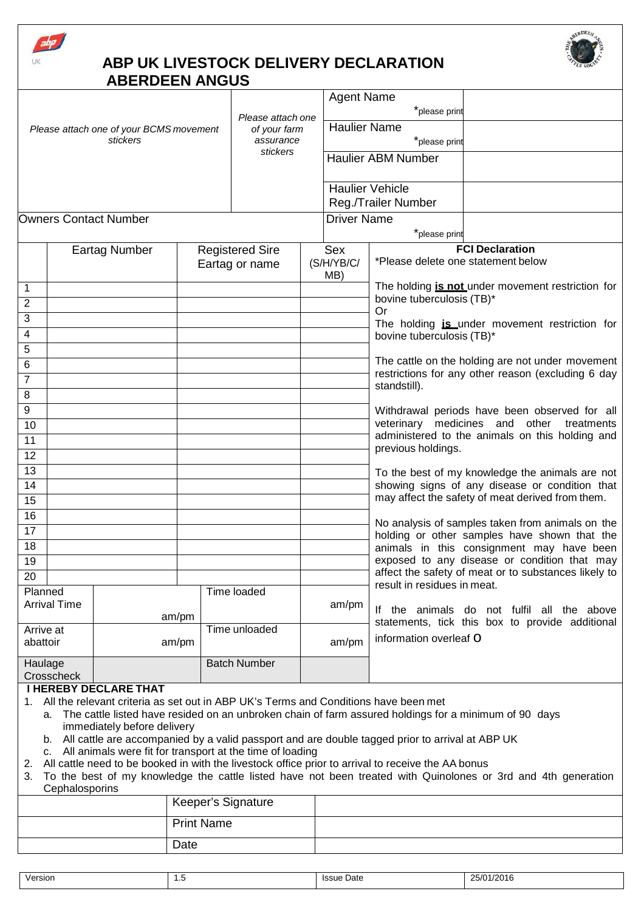





|                                                                                                                                            |                      |                                                           |  | Please attach one<br>of your farm<br>assurance<br>stickers |                     | <b>Agent Name</b> |                           |                                                                                                    |                                                                                                        |  |
|--------------------------------------------------------------------------------------------------------------------------------------------|----------------------|-----------------------------------------------------------|--|------------------------------------------------------------|---------------------|-------------------|---------------------------|----------------------------------------------------------------------------------------------------|--------------------------------------------------------------------------------------------------------|--|
|                                                                                                                                            |                      |                                                           |  |                                                            |                     |                   | *please print             |                                                                                                    |                                                                                                        |  |
| Please attach one of your BCMS movement<br>stickers                                                                                        |                      |                                                           |  |                                                            |                     |                   | <b>Haulier Name</b>       |                                                                                                    |                                                                                                        |  |
|                                                                                                                                            |                      |                                                           |  |                                                            |                     |                   |                           | *please print                                                                                      |                                                                                                        |  |
|                                                                                                                                            |                      |                                                           |  |                                                            |                     |                   | <b>Haulier ABM Number</b> |                                                                                                    |                                                                                                        |  |
|                                                                                                                                            |                      |                                                           |  |                                                            |                     |                   |                           | <b>Haulier Vehicle</b>                                                                             |                                                                                                        |  |
|                                                                                                                                            |                      |                                                           |  |                                                            |                     |                   |                           | Reg./Trailer Number                                                                                |                                                                                                        |  |
|                                                                                                                                            |                      | <b>Owners Contact Number</b>                              |  |                                                            |                     |                   | <b>Driver Name</b>        |                                                                                                    |                                                                                                        |  |
|                                                                                                                                            |                      |                                                           |  |                                                            |                     |                   |                           | *please print                                                                                      |                                                                                                        |  |
|                                                                                                                                            | <b>Eartag Number</b> |                                                           |  | <b>Registered Sire</b><br>Eartag or name                   |                     |                   | Sex                       |                                                                                                    | <b>FCI Declaration</b>                                                                                 |  |
|                                                                                                                                            |                      |                                                           |  |                                                            |                     | (S/H/YB/C/<br>MB) |                           | *Please delete one statement below                                                                 |                                                                                                        |  |
| 1                                                                                                                                          |                      |                                                           |  |                                                            |                     |                   |                           |                                                                                                    | The holding is not under movement restriction for                                                      |  |
| $\overline{\mathbf{c}}$                                                                                                                    |                      |                                                           |  |                                                            |                     |                   |                           | bovine tuberculosis (TB)*                                                                          |                                                                                                        |  |
| 3                                                                                                                                          |                      |                                                           |  |                                                            |                     |                   |                           | Or                                                                                                 | The holding is under movement restriction for                                                          |  |
| 4                                                                                                                                          |                      |                                                           |  |                                                            |                     |                   | bovine tuberculosis (TB)* |                                                                                                    |                                                                                                        |  |
| 5                                                                                                                                          |                      |                                                           |  |                                                            |                     |                   |                           |                                                                                                    |                                                                                                        |  |
| 6                                                                                                                                          |                      |                                                           |  |                                                            |                     |                   |                           |                                                                                                    | The cattle on the holding are not under movement<br>restrictions for any other reason (excluding 6 day |  |
| $\overline{7}$                                                                                                                             |                      |                                                           |  |                                                            |                     |                   |                           | standstill).                                                                                       |                                                                                                        |  |
| 8                                                                                                                                          |                      |                                                           |  |                                                            |                     |                   |                           |                                                                                                    |                                                                                                        |  |
| 9                                                                                                                                          |                      |                                                           |  |                                                            |                     |                   |                           |                                                                                                    | Withdrawal periods have been observed for all                                                          |  |
| 10                                                                                                                                         |                      |                                                           |  |                                                            |                     |                   |                           | veterinary medicines and other<br>treatments<br>administered to the animals on this holding and    |                                                                                                        |  |
| 11                                                                                                                                         |                      |                                                           |  |                                                            |                     |                   | previous holdings.        |                                                                                                    |                                                                                                        |  |
| 12                                                                                                                                         |                      |                                                           |  |                                                            |                     |                   |                           |                                                                                                    |                                                                                                        |  |
| 13<br>14                                                                                                                                   |                      |                                                           |  |                                                            |                     |                   |                           | To the best of my knowledge the animals are not<br>showing signs of any disease or condition that  |                                                                                                        |  |
| 15                                                                                                                                         |                      |                                                           |  |                                                            |                     |                   |                           |                                                                                                    | may affect the safety of meat derived from them.                                                       |  |
| $\overline{16}$                                                                                                                            |                      |                                                           |  |                                                            |                     |                   |                           |                                                                                                    |                                                                                                        |  |
| 17                                                                                                                                         |                      |                                                           |  |                                                            |                     |                   |                           |                                                                                                    | No analysis of samples taken from animals on the                                                       |  |
| 18                                                                                                                                         |                      |                                                           |  |                                                            |                     |                   |                           | holding or other samples have shown that the<br>animals in this consignment may have been          |                                                                                                        |  |
| 19                                                                                                                                         |                      |                                                           |  |                                                            |                     |                   |                           |                                                                                                    | exposed to any disease or condition that may                                                           |  |
| 20                                                                                                                                         |                      |                                                           |  |                                                            |                     |                   |                           |                                                                                                    | affect the safety of meat or to substances likely to                                                   |  |
| Planned                                                                                                                                    |                      |                                                           |  |                                                            | Time loaded         |                   |                           | result in residues in meat.                                                                        |                                                                                                        |  |
| <b>Arrival Time</b>                                                                                                                        |                      |                                                           |  |                                                            |                     |                   | am/pm                     | If the animals do not fulfil all the above                                                         |                                                                                                        |  |
| Arrive at                                                                                                                                  |                      | am/pm                                                     |  |                                                            | Time unloaded       |                   |                           |                                                                                                    | statements, tick this box to provide additional                                                        |  |
| abattoir                                                                                                                                   |                      | am/pm                                                     |  |                                                            |                     |                   | am/pm                     | information overleaf O                                                                             |                                                                                                        |  |
| Haulage<br>Crosscheck                                                                                                                      |                      |                                                           |  |                                                            | <b>Batch Number</b> |                   |                           |                                                                                                    |                                                                                                        |  |
| <b>I HEREBY DECLARE THAT</b>                                                                                                               |                      |                                                           |  |                                                            |                     |                   |                           |                                                                                                    |                                                                                                        |  |
| All the relevant criteria as set out in ABP UK's Terms and Conditions have been met<br>1.                                                  |                      |                                                           |  |                                                            |                     |                   |                           |                                                                                                    |                                                                                                        |  |
| The cattle listed have resided on an unbroken chain of farm assured holdings for a minimum of 90 days<br>a.<br>immediately before delivery |                      |                                                           |  |                                                            |                     |                   |                           |                                                                                                    |                                                                                                        |  |
| b. All cattle are accompanied by a valid passport and are double tagged prior to arrival at ABP UK                                         |                      |                                                           |  |                                                            |                     |                   |                           |                                                                                                    |                                                                                                        |  |
| ົາ                                                                                                                                         | C.                   | All animals were fit for transport at the time of loading |  |                                                            |                     |                   |                           | All cattle need to be booked in with the livestock office prior to arrival to receive the AA bonus |                                                                                                        |  |

- 2. All cattle need to be booked in with the livestock office prior to arrival to receive the AA bonus
- 3. To the best of my knowledge the cattle listed have not been treated with Quinolones or 3rd and 4th generation **Cephalosporins**

| Keeper's Signature |  |
|--------------------|--|
| <b>Print Name</b>  |  |
| Date               |  |

| Version | $\cdot$ | Issue Date | 25/01/2016 |
|---------|---------|------------|------------|
|---------|---------|------------|------------|